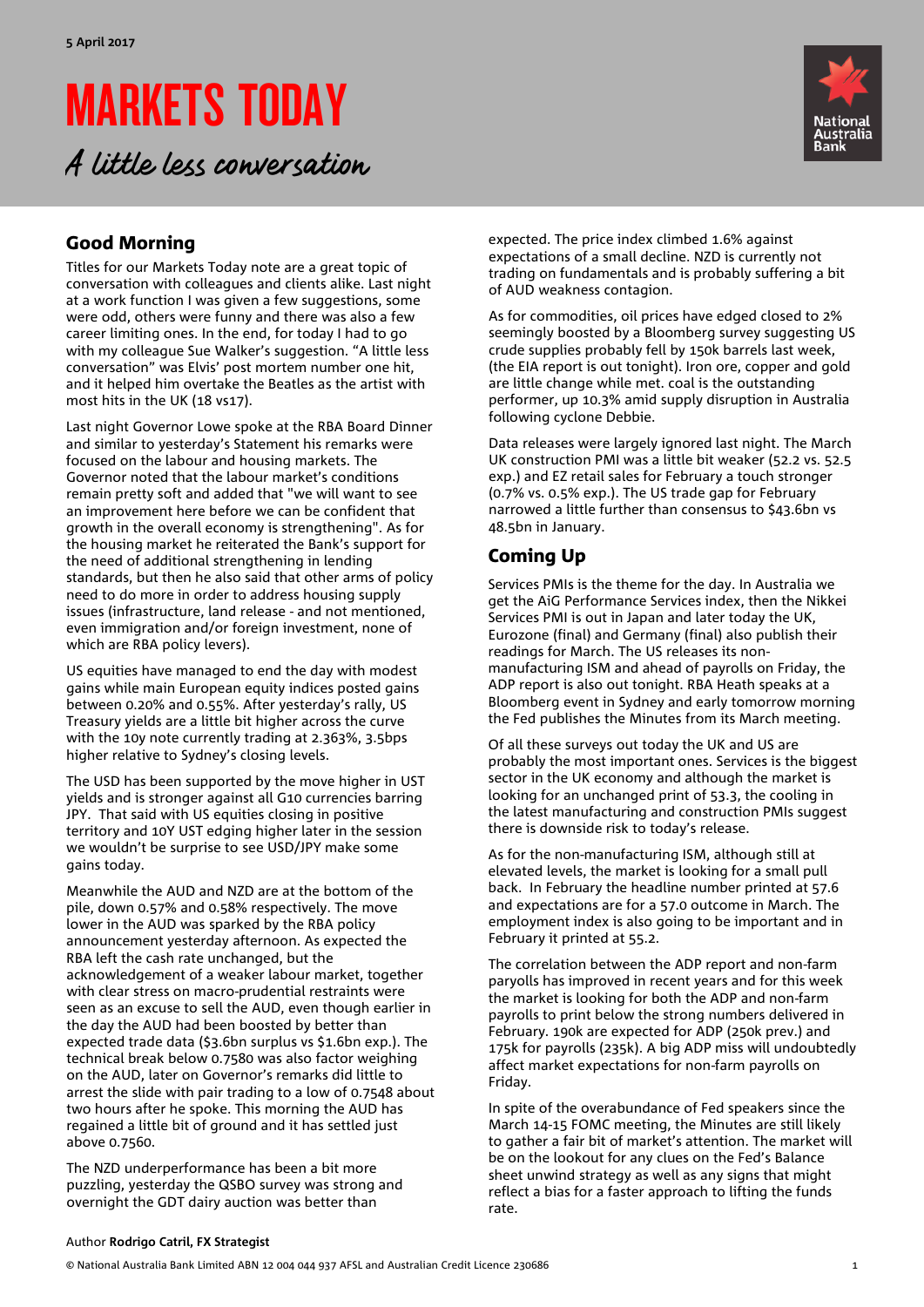# MARKETS TODAY

A little less conversation



### Good Morning

Titles for our Markets Today note are a great topic of conversation with colleagues and clients alike. Last night at a work function I was given a few suggestions, some were odd, others were funny and there was also a few career limiting ones. In the end, for today I had to go with my colleague Sue Walker's suggestion. "A little less conversation" was Elvis' post mortem number one hit, and it helped him overtake the Beatles as the artist with most hits in the UK (18 vs17).

Last night Governor Lowe spoke at the RBA Board Dinner and similar to yesterday's Statement his remarks were focused on the labour and housing markets. The Governor noted that the labour market's conditions remain pretty soft and added that "we will want to see an improvement here before we can be confident that growth in the overall economy is strengthening". As for the housing market he reiterated the Bank's support for the need of additional strengthening in lending standards, but then he also said that other arms of policy need to do more in order to address housing supply issues (infrastructure, land release - and not mentioned, even immigration and/or foreign investment, none of which are RBA policy levers).

US equities have managed to end the day with modest gains while main European equity indices posted gains between 0.20% and 0.55%. After yesterday's rally, US Treasury yields are a little bit higher across the curve with the 10y note currently trading at 2.363%, 3.5bps higher relative to Sydney's closing levels.

The USD has been supported by the move higher in UST yields and is stronger against all G10 currencies barring JPY. That said with US equities closing in positive territory and 10Y UST edging higher later in the session we wouldn't be surprise to see USD/JPY make some gains today.

Meanwhile the AUD and NZD are at the bottom of the pile, down 0.57% and 0.58% respectively. The move lower in the AUD was sparked by the RBA policy announcement yesterday afternoon. As expected the RBA left the cash rate unchanged, but the acknowledgement of a weaker labour market, together with clear stress on macro-prudential restraints were seen as an excuse to sell the AUD, even though earlier in the day the AUD had been boosted by better than expected trade data (\$3.6bn surplus vs \$1.6bn exp.). The technical break below 0.7580 was also factor weighing on the AUD, later on Governor's remarks did little to arrest the slide with pair trading to a low of 0.7548 about two hours after he spoke. This morning the AUD has regained a little bit of ground and it has settled just above 0.7560.

The NZD underperformance has been a bit more puzzling, yesterday the QSBO survey was strong and overnight the GDT dairy auction was better than

expected. The price index climbed 1.6% against expectations of a small decline. NZD is currently not trading on fundamentals and is probably suffering a bit of AUD weakness contagion.

As for commodities, oil prices have edged closed to 2% seemingly boosted by a Bloomberg survey suggesting US crude supplies probably fell by 150k barrels last week, (the EIA report is out tonight). Iron ore, copper and gold are little change while met. coal is the outstanding performer, up 10.3% amid supply disruption in Australia following cyclone Debbie.

Data releases were largely ignored last night. The March UK construction PMI was a little bit weaker (52.2 vs. 52.5 exp.) and EZ retail sales for February a touch stronger (0.7% vs. 0.5% exp.). The US trade gap for February narrowed a little further than consensus to \$43.6bn vs 48.5bn in January.

### Coming Up

Services PMIs is the theme for the day. In Australia we get the AiG Performance Services index, then the Nikkei Services PMI is out in Japan and later today the UK, Eurozone (final) and Germany (final) also publish their readings for March. The US releases its nonmanufacturing ISM and ahead of payrolls on Friday, the ADP report is also out tonight. RBA Heath speaks at a Bloomberg event in Sydney and early tomorrow morning the Fed publishes the Minutes from its March meeting.

Of all these surveys out today the UK and US are probably the most important ones. Services is the biggest sector in the UK economy and although the market is looking for an unchanged print of 53.3, the cooling in the latest manufacturing and construction PMIs suggest there is downside risk to today's release.

As for the non-manufacturing ISM, although still at elevated levels, the market is looking for a small pull back. In February the headline number printed at 57.6 and expectations are for a 57.0 outcome in March. The employment index is also going to be important and in February it printed at 55.2.

The correlation between the ADP report and non-farm paryolls has improved in recent years and for this week the market is looking for both the ADP and non-farm payrolls to print below the strong numbers delivered in February. 190k are expected for ADP (250k prev.) and 175k for payrolls (235k). A big ADP miss will undoubtedly affect market expectations for non-farm payrolls on Friday.

In spite of the overabundance of Fed speakers since the March 14-15 FOMC meeting, the Minutes are still likely to gather a fair bit of market's attention. The market will be on the lookout for any clues on the Fed's Balance sheet unwind strategy as well as any signs that might reflect a bias for a faster approach to lifting the funds rate.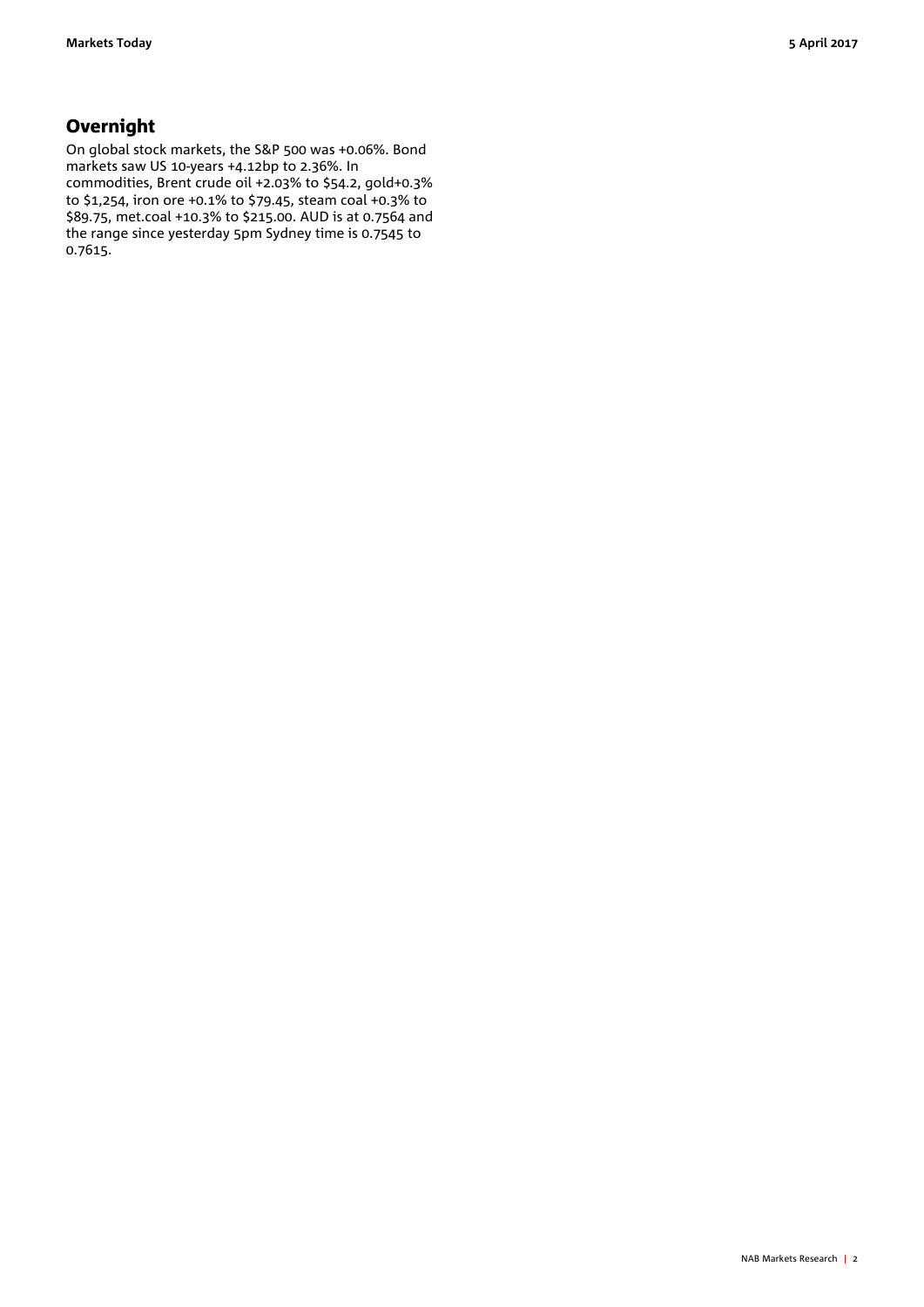### **Overnight**

On global stock markets, the S&P 500 was +0.06%. Bond markets saw US 10-years +4.12bp to 2.36%. In commodities, Brent crude oil +2.03% to \$54.2, gold+0.3% to \$1,254, iron ore +0.1% to \$79.45, steam coal +0.3% to \$89.75, met.coal +10.3% to \$215.00. AUD is at 0.7564 and the range since yesterday 5pm Sydney time is 0.7545 to 0.7615.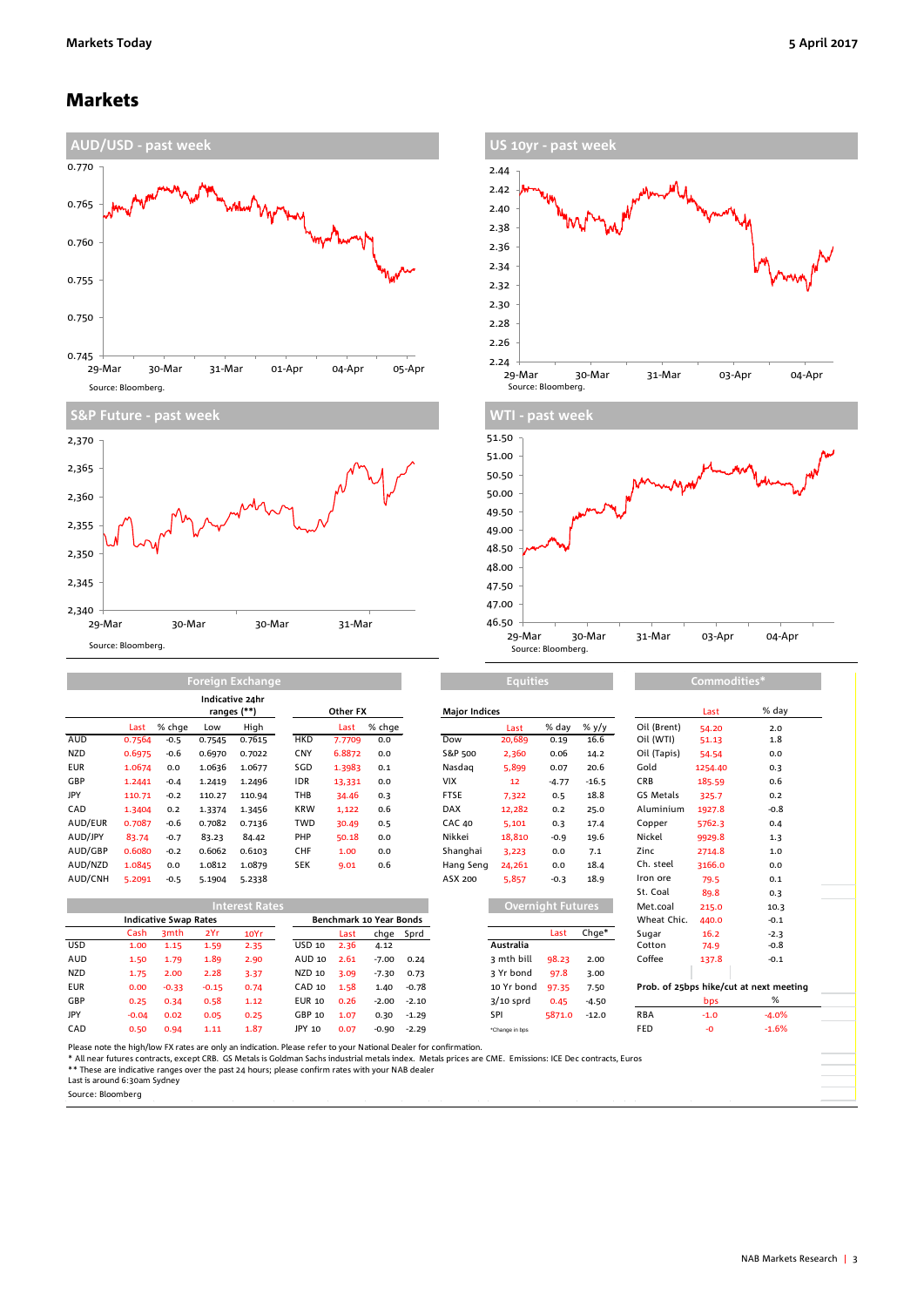### Markets





**Foreign Exchange**





|            |        |        | Indicative 24hr<br>ranges (**) |        | Other FX   |        |        | <b>Major Indices</b> |        |         |         |             | Last    | % day  |
|------------|--------|--------|--------------------------------|--------|------------|--------|--------|----------------------|--------|---------|---------|-------------|---------|--------|
|            | Last   | % chae | Low                            | High   |            | Last   | % chge |                      | Last   | % day   | % $y/y$ | Oil (Brent) | 54.20   | 2.0    |
| <b>AUD</b> | 0.7564 | $-0.5$ | 0.7545                         | 0.7615 | <b>HKD</b> | 7.7709 | 0.0    | Dow                  | 20,689 | 0.19    | 16.6    | Oil (WTI)   | 51.13   | 1.8    |
| <b>NZD</b> | 0.6975 | $-0.6$ | 0.6970                         | 0.7022 | <b>CNY</b> | 6.8872 | 0.0    | S&P 500              | 2,360  | 0.06    | 14.2    | Oil (Tapis) | 54.54   | 0.0    |
| <b>EUR</b> | 1.0674 | 0.0    | 1.0636                         | 1.0677 | SGD        | 1.3983 | 0.1    | Nasdag               | 5,899  | 0.07    | 20.6    | Gold        | 1254.40 | 0.3    |
| GBP        | 1.2441 | $-0.4$ | 1.2419                         | 1.2496 | <b>IDR</b> | 13,331 | 0.0    | <b>VIX</b>           | 12     | $-4.77$ | $-16.5$ | <b>CRB</b>  | 185.59  | 0.6    |
| JPY        | 110.71 | $-0.2$ | 110.27                         | 110.94 | THB        | 34.46  | 0.3    | <b>FTSE</b>          | 7,322  | 0.5     | 18.8    | GS Metals   | 325.7   | 0.2    |
| CAD        | 1.3404 | 0.2    | 1.3374                         | 1.3456 | <b>KRW</b> | 1,122  | 0.6    | <b>DAX</b>           | 12,282 | 0.2     | 25.0    | Aluminium   | 1927.8  | $-0.8$ |
| AUD/EUR    | 0.7087 | $-0.6$ | 0.7082                         | 0.7136 | TWD        | 30.49  | 0.5    | <b>CAC 40</b>        | 5,101  | 0.3     | 17.4    | Copper      | 5762.3  | 0.4    |
| AUD/JPY    | 83.74  | $-0.7$ | 83.23                          | 84.42  | PHP        | 50.18  | 0.0    | Nikkei               | 18,810 | $-0.9$  | 19.6    | Nickel      | 9929.8  | 1.3    |
| AUD/GBP    | 0.6080 | $-0.2$ | 0.6062                         | 0.6103 | <b>CHF</b> | 1.00   | 0.0    | Shanghai             | 3,223  | 0.0     | 7.1     | Zinc        | 2714.8  | 1.0    |
| AUD/NZD    | 1.0845 | 0.0    | 1.0812                         | 1.0879 | <b>SEK</b> | 9.01   | 0.6    | Hang Seng            | 24,261 | 0.0     | 18.4    | Ch. steel   | 3166.0  | 0.0    |
| AUD/CNH    | 5.2091 | $-0.5$ | 5.1904                         | 5.2338 |            |        |        | ASX 200              | 5,857  | $-0.3$  | 18.9    | Iron ore    | 79.5    | 0.1    |
|            |        |        |                                |        |            |        |        |                      |        |         |         |             |         |        |

|                              | Last                         | % chge           | Low     | High                                                                                                                                                                                                                 |               | Last                           | % chge  |         |                                                                                                                                                          | Last           | % day                    | % $y/y$ | Oil (Brent) | 54.20   | 2.0                                     |
|------------------------------|------------------------------|------------------|---------|----------------------------------------------------------------------------------------------------------------------------------------------------------------------------------------------------------------------|---------------|--------------------------------|---------|---------|----------------------------------------------------------------------------------------------------------------------------------------------------------|----------------|--------------------------|---------|-------------|---------|-----------------------------------------|
| AUD                          | 0.7564                       | $-0.5$           | 0.7545  | 0.7615                                                                                                                                                                                                               | <b>HKD</b>    | 7.7709                         | 0.0     |         | Dow                                                                                                                                                      | 20,689         | 0.19                     | 16.6    | Oil (WTI)   | 51.13   | 1.8                                     |
| NZD                          | 0.6975                       | $-0.6$           | 0.6970  | 0.7022                                                                                                                                                                                                               | <b>CNY</b>    | 6.8872                         | 0.0     |         | S&P 500                                                                                                                                                  | 2,360          | 0.06                     | 14.2    | Oil (Tapis) | 54.54   | 0.0                                     |
| <b>EUR</b>                   | 1.0674                       | 0.0              | 1.0636  | 1.0677                                                                                                                                                                                                               | SGD           | 1.3983                         | 0.1     |         | Nasdag                                                                                                                                                   | 5,899          | 0.07                     | 20.6    | Gold        | 1254.40 | 0.3                                     |
| GBP                          | 1.2441                       | $-0.4$           | 1.2419  | 1.2496                                                                                                                                                                                                               | <b>IDR</b>    | 13,331                         | 0.0     |         | <b>VIX</b>                                                                                                                                               | 12             | $-4.77$                  | $-16.5$ | CRB         | 185.59  | 0.6                                     |
| JPY                          | 110.71                       | $-0.2$           | 110.27  | 110.94                                                                                                                                                                                                               | THB           | 34.46                          | 0.3     |         | FTSE                                                                                                                                                     | 7,322          | 0.5                      | 18.8    | GS Metals   | 325.7   | 0.2                                     |
| CAD                          | 1.3404                       | 0.2              | 1.3374  | 1.3456                                                                                                                                                                                                               | <b>KRW</b>    | 1,122                          | 0.6     |         | <b>DAX</b>                                                                                                                                               | 12,282         | 0.2                      | 25.0    | Aluminium   | 1927.8  | $-0.8$                                  |
| AUD/EUR                      | 0.7087                       | $-0.6$           | 0.7082  | 0.7136                                                                                                                                                                                                               | <b>TWD</b>    | 30.49                          | 0.5     |         | <b>CAC 40</b>                                                                                                                                            | 5,101          | 0.3                      | 17.4    | Copper      | 5762.3  | 0.4                                     |
| AUD/JPY                      | 83.74                        | $-0.7$           | 83.23   | 84.42                                                                                                                                                                                                                | PHP           | 50.18                          | 0.0     |         | Nikkei                                                                                                                                                   | 18,810         | $-0.9$                   | 19.6    | Nickel      | 9929.8  | 1.3                                     |
| AUD/GBP                      | 0.6080                       | $-0.2$           | 0.6062  | 0.6103                                                                                                                                                                                                               | <b>CHF</b>    | 1.00                           | 0.0     |         | Shanghai                                                                                                                                                 | 3,223          | 0.0                      | 7.1     | Zinc        | 2714.8  | 1.0                                     |
| AUD/NZD                      | 1.0845                       | 0.0              | 1.0812  | 1.0879                                                                                                                                                                                                               | <b>SEK</b>    | 9.01                           | 0.6     |         | Hang Seng                                                                                                                                                | 24,261         | 0.0                      | 18.4    | Ch. steel   | 3166.0  | 0.0                                     |
| AUD/CNH                      | 5.2091                       | $-0.5$           | 5.1904  | 5.2338                                                                                                                                                                                                               |               |                                |         |         | ASX 200                                                                                                                                                  | 5.857          | $-0.3$                   | 18.9    | Iron ore    | 79.5    | 0.1                                     |
|                              |                              |                  |         |                                                                                                                                                                                                                      |               |                                |         |         |                                                                                                                                                          |                |                          |         | St. Coal    | 89.8    | 0.3                                     |
|                              | <b>Interest Rates</b>        |                  |         |                                                                                                                                                                                                                      |               |                                |         |         |                                                                                                                                                          |                | <b>Overnight Futures</b> |         | Met.coal    | 215.0   | 10.3                                    |
|                              | <b>Indicative Swap Rates</b> |                  |         |                                                                                                                                                                                                                      |               | <b>Benchmark 10 Year Bonds</b> |         |         |                                                                                                                                                          |                |                          |         | Wheat Chic. | 440.0   | $-0.1$                                  |
|                              | Cash                         | 3 <sub>mth</sub> | 2Yr     | 10Yr                                                                                                                                                                                                                 |               | Last                           | chge    | Sprd    |                                                                                                                                                          |                | Last                     | $Chge*$ | Sugar       | 16.2    | $-2.3$                                  |
| USD                          | 1.00                         | 1.15             | 1.59    | 2.35                                                                                                                                                                                                                 | <b>USD 10</b> | 2.36                           | 4.12    |         |                                                                                                                                                          | Australia      |                          |         | Cotton      | 74.9    | $-0.8$                                  |
| AUD                          | 1.50                         | 1.79             | 1.89    | 2.90                                                                                                                                                                                                                 | AUD 10        | 2.61                           | $-7.00$ | 0.24    |                                                                                                                                                          | 3 mth bill     | 98.23                    | 2.00    | Coffee      | 137.8   | $-0.1$                                  |
| NZD                          | 1.75                         | 2.00             | 2.28    | 3.37                                                                                                                                                                                                                 | NZD 10        | 3.09                           | $-7.30$ | 0.73    |                                                                                                                                                          | 3 Yr bond      | 97.8                     | 3.00    |             |         |                                         |
| <b>EUR</b>                   | 0.00                         | $-0.33$          | $-0.15$ | 0.74                                                                                                                                                                                                                 | CAD 10        | 1.58                           | 1.40    | $-0.78$ |                                                                                                                                                          | 10 Yr bond     | 97.35                    | 7.50    |             |         | Prob. of 25bps hike/cut at next meeting |
| GBP                          | 0.25                         | 0.34             | 0.58    | 1.12                                                                                                                                                                                                                 | <b>EUR 10</b> | 0.26                           | $-2.00$ | $-2.10$ |                                                                                                                                                          | $3/10$ sprd    | 0.45                     | $-4.50$ |             | bps     | %                                       |
| <b>JPY</b>                   | $-0.04$                      | 0.02             | 0.05    | 0.25                                                                                                                                                                                                                 | GBP 10        | 1.07                           | 0.30    | $-1.29$ |                                                                                                                                                          | SPI            | 5871.0                   | $-12.0$ | <b>RBA</b>  | $-1.0$  | $-4.0%$                                 |
| CAD                          | 0.50                         | 0.94             | 1.11    | 1.87                                                                                                                                                                                                                 | JPY 10        | 0.07                           | $-0.90$ | $-2.29$ |                                                                                                                                                          | *Change in bps |                          |         | <b>FED</b>  | -0      | $-1.6%$                                 |
| Last is around 6:30am Sydney |                              |                  |         | Please note the high/low FX rates are only an indication. Please refer to your National Dealer for confirmation.<br>** These are indicative ranges over the past 24 hours; please confirm rates with your NAB dealer |               |                                |         |         | * All near futures contracts, except CRB. GS Metals is Goldman Sachs industrial metals index. Metals prices are CME. Emissions: ICE Dec contracts, Euros |                |                          |         |             |         |                                         |

**Equities Commodities\***

Source: Bloomberg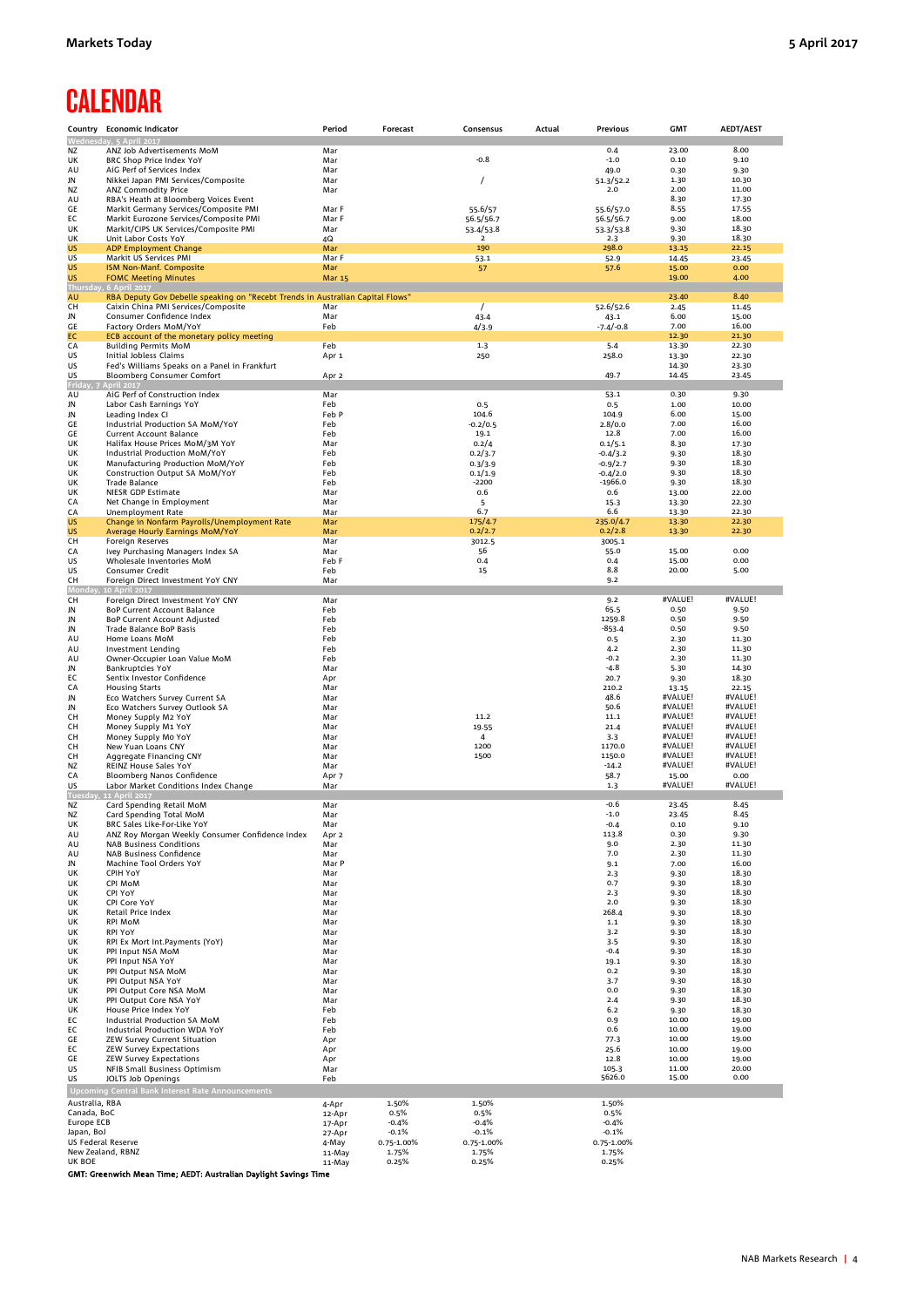## **CALENDAR**

|                           | Country Economic Indicator                                                         | Period           | Forecast        | Consensus            | Actual | Previous                | <b>GMT</b>         | <b>AEDT/AEST</b>   |
|---------------------------|------------------------------------------------------------------------------------|------------------|-----------------|----------------------|--------|-------------------------|--------------------|--------------------|
|                           | Wednesday, 5 April 2017                                                            |                  |                 |                      |        |                         |                    |                    |
| <b>NZ</b><br>UK           | ANZ Job Advertisements MoM<br>BRC Shop Price Index YoY                             | Mar<br>Mar       |                 | -0.8                 |        | 0.4<br>$-1.0$           | 23.00<br>0.10      | 8.00<br>9.10       |
| AU                        | AiG Perf of Services Index                                                         | Mar              |                 |                      |        | 49.0                    | 0.30               | 9.30               |
| JN                        | Nikkei Japan PMI Services/Composite                                                | Mar              |                 | $\prime$             |        | 51.3/52.2               | 1.30               | 10.30              |
| NZ                        | ANZ Commodity Price                                                                | Mar              |                 |                      |        | 2.0                     | 2.00               | 11.00              |
| AU                        | RBA's Heath at Bloomberg Voices Event                                              |                  |                 |                      |        |                         | 8.30               | 17.30              |
| GE<br>EC                  | Markit Germany Services/Composite PMI<br>Markit Eurozone Services/Composite PMI    | Mar F<br>Mar F   |                 | 55.6/57<br>56.5/56.7 |        | 55.6/57.0<br>56.5/56.7  | 8.55<br>9.00       | 17.55<br>18.00     |
| UK                        | Markit/CIPS UK Services/Composite PMI                                              | Mar              |                 | 53.4/53.8            |        | 53.3/53.8               | 9.30               | 18.30              |
| UK                        | Unit Labor Costs YoY                                                               | 4Q               |                 | 2                    |        | 2.3                     | 9.30               | 18.30              |
| US                        | <b>ADP Employment Change</b>                                                       | Mar              |                 | 190                  |        | 298.0                   | 13.15              | 22.15              |
| US                        | Markit US Services PMI                                                             | Mar F<br>Mar     |                 | 53.1                 |        | 52.9<br>57.6            | 14.45<br>15.00     | 23.45<br>0.00      |
| US<br>US                  | ISM Non-Manf. Composite<br><b>FOMC Meeting Minutes</b>                             | <b>Mar 15</b>    |                 | 57                   |        |                         | 19.00              | 4.00               |
| <b>Thurs</b>              | 6 April 2017                                                                       |                  |                 |                      |        |                         |                    |                    |
| AU                        | RBA Deputy Gov Debelle speaking on "Recebt Trends in Australian Capital Flows"     |                  |                 |                      |        |                         | 23.40              | 8.40               |
| CН<br>JN                  | Caixin China PMI Services/Composite<br>Consumer Confidence Index                   | Mar<br>Mar       |                 | $\prime$<br>43.4     |        | 52.6/52.6<br>43.1       | 2.45<br>6.00       | 11.45<br>15.00     |
| GE                        | Factory Orders MoM/YoY                                                             | Feb              |                 | 4/3.9                |        | $-7.4/-0.8$             | 7.00               | 16.00              |
| EC                        | ECB account of the monetary policy meeting                                         |                  |                 |                      |        |                         | 12.30              | 21.30              |
| CA                        | <b>Building Permits MoM</b>                                                        | Feb              |                 | 1.3                  |        | 5.4                     | 13.30              | 22.30              |
| US                        | Initial Jobless Claims                                                             | Apr 1            |                 | 250                  |        | 258.0                   | 13.30              | 22.30              |
| US<br>US                  | Fed's Williams Speaks on a Panel in Frankfurt<br><b>Bloomberg Consumer Comfort</b> | Apr 2            |                 |                      |        | 49.7                    | 14.30<br>14.45     | 23.30<br>23.45     |
| Frid                      | pril 2017                                                                          |                  |                 |                      |        |                         |                    |                    |
| AU                        | AiG Perf of Construction Index                                                     | Mar              |                 |                      |        | 53.1                    | 0.30               | 9.30               |
| JN                        | Labor Cash Earnings YoY                                                            | Feb              |                 | 0.5                  |        | 0.5                     | 1.00               | 10.00              |
| JN                        | Leading Index CI                                                                   | Feb P            |                 | 104.6<br>$-0.2/0.5$  |        | 104.9                   | 6.00               | 15.00              |
| GE<br>GE                  | Industrial Production SA MoM/YoY<br>Current Account Balance                        | Feb<br>Feb       |                 | 19.1                 |        | 2.8/0.0<br>12.8         | 7.00<br>7.00       | 16.00<br>16.00     |
| UK                        | Halifax House Prices MoM/3M YoY                                                    | Mar              |                 | 0.2/4                |        | 0.1/5.1                 | 8.30               | 17.30              |
| UK                        | Industrial Production MoM/YoY                                                      | Feb              |                 | 0.2/3.7              |        | $-0.4/3.2$              | 9.30               | 18.30              |
| UK                        | Manufacturing Production MoM/YoY                                                   | Feb              |                 | 0.3/3.9              |        | $-0.9/2.7$              | 9.30               | 18.30              |
| UK<br>UK                  | Construction Output SA MoM/YoY<br>Trade Balance                                    | Feb<br>Feb       |                 | 0.1/1.9<br>$-2200$   |        | $-0.4/2.0$<br>$-1966.0$ | 9.30<br>9.30       | 18.30<br>18.30     |
| UK                        | NIESR GDP Estimate                                                                 | Mar              |                 | 0.6                  |        | 0.6                     | 13.00              | 22.00              |
| CA                        | Net Change in Employment                                                           | Mar              |                 | 5                    |        | 15.3                    | 13.30              | 22.30              |
| CA                        | Unemployment Rate                                                                  | Mar              |                 | 6.7                  |        | 6.6                     | 13.30              | 22.30              |
| <b>US</b><br><b>US</b>    | Change in Nonfarm Payrolls/Unemployment Rate                                       | Mar              |                 | 175/4.7<br>0.2/2.7   |        | 235.0/4.7<br>0.2/2.8    | 13.30              | 22.30              |
| СH                        | Average Hourly Earnings MoM/YoY<br><b>Foreign Reserves</b>                         | Mar<br>Mar       |                 | 3012.5               |        | 3005.1                  | 13.30              | 22.30              |
| CA                        | Ivey Purchasing Managers Index SA                                                  | Mar              |                 | 56                   |        | 55.0                    | 15.00              | 0.00               |
| US                        | Wholesale Inventories MoM                                                          | Feb F            |                 | 0.4                  |        | 0.4                     | 15.00              | 0.00               |
| US                        | <b>Consumer Credit</b>                                                             | Feb              |                 | 15                   |        | 8.8                     | 20.00              | 5.00               |
| СH                        | Foreign Direct Investment YoY CNY                                                  | Mar              |                 |                      |        | 9.2                     |                    |                    |
| CН                        | Foreign Direct Investment YoY CNY                                                  | Mar              |                 |                      |        | 9.2                     | #VALUE!            | #VALUE!            |
| JN                        | BoP Current Account Balance                                                        | Feb              |                 |                      |        | 65.5                    | 0.50               | 9.50               |
| JN                        | BoP Current Account Adjusted                                                       | Feb              |                 |                      |        | 1259.8                  | 0.50               | 9.50               |
| JN                        | Trade Balance BoP Basis                                                            | Feb<br>Feb       |                 |                      |        | $-853.4$<br>0.5         | 0.50<br>2.30       | 9.50<br>11.30      |
| AU<br>AU                  | Home Loans MoM<br>Investment Lending                                               | Feb              |                 |                      |        | 4.2                     | 2.30               | 11.30              |
| AU                        | Owner-Occupier Loan Value MoM                                                      | Feb              |                 |                      |        | $-0.2$                  | 2.30               | 11.30              |
| JN                        | <b>Bankruptcies YoY</b>                                                            | Mar              |                 |                      |        | $-4.8$                  | 5.30               | 14.30              |
| EC                        | Sentix Investor Confidence                                                         | Apr              |                 |                      |        | 20.7<br>210.2           | 9.30               | 18.30              |
| CA<br>JN                  | <b>Housing Starts</b><br>Eco Watchers Survey Current SA                            | Mar<br>Mar       |                 |                      |        | 48.6                    | 13.15<br>#VALUE!   | 22.15<br>#VALUE!   |
| JN                        | Eco Watchers Survey Outlook SA                                                     | Mar              |                 |                      |        | 50.6                    | #VALUE!            | #VALUE!            |
| CH                        | Money Supply M2 YoY                                                                | Mar              |                 | 11.2                 |        | 11.1                    | #VALUE!            | #VALUE!            |
| CH                        | Money Supply M1 YoY                                                                | Mar              |                 | 19.55                |        | 21.4                    | #VALUE!            | #VALUE!            |
| CН<br>CН                  | Money Supply Mo YoY<br>New Yuan Loans CNY                                          | Mar<br>Mar       |                 | 4<br>1200            |        | 3.3<br>1170.0           | #VALUE!<br>#VALUE! | #VALUE!<br>#VALUE! |
| CН                        | Aggregate Financing CNY                                                            | Mar              |                 | 1500                 |        | 1150.0                  | #VALUE!            | #VALUE!            |
| NZ                        | REINZ House Sales YoY                                                              | Mar              |                 |                      |        | $-14.2$                 | #VALUE!            | #VALUE!            |
| CA                        | Bloomberg Nanos Confidence                                                         | Apr 7            |                 |                      |        | 58.7                    | 15.00              | 0.00               |
| US<br>Tuesda              | Labor Market Conditions Index Change<br>11 April 2017                              | Mar              |                 |                      |        | 1.3                     | #VALUE!            | #VALUE!            |
| NZ                        | Card Spending Retail MoM                                                           | Mar              |                 |                      |        | $-0.6$                  | 23.45              | 8.45               |
| <b>NZ</b>                 | Card Spending Total MoM                                                            | Mar              |                 |                      |        | $-1.0$                  | 23.45              | 8.45               |
| UK                        | BRC Sales Like-For-Like YoY                                                        | Mar              |                 |                      |        | $-0.4$                  | 0.10               | 9.10               |
| AU<br>AU                  | ANZ Roy Morgan Weekly Consumer Confidence Index                                    | Apr 2<br>Mar     |                 |                      |        | 113.8<br>9.0            | 0.30<br>2.30       | 9.30<br>11.30      |
| AU                        | <b>NAB Business Conditions</b><br><b>NAB Business Confidence</b>                   | Mar              |                 |                      |        | 7.0                     | 2.30               | 11.30              |
| JN                        | Machine Tool Orders YoY                                                            | Mar P            |                 |                      |        | 9.1                     | 7.00               | 16.00              |
| UK                        | <b>CPIH YoY</b>                                                                    | Mar              |                 |                      |        | 2.3                     | 9.30               | 18.30              |
| UK<br>UK                  | CPI MoM<br>CPI YoY                                                                 | Mar<br>Mar       |                 |                      |        | 0.7<br>2.3              | 9.30<br>9.30       | 18.30<br>18.30     |
| UK                        | CPI Core YoY                                                                       | Mar              |                 |                      |        | 2.0                     | 9.30               | 18.30              |
| UK                        | Retail Price Index                                                                 | Mar              |                 |                      |        | 268.4                   | 9.30               | 18.30              |
| UK                        | <b>RPI MoM</b>                                                                     | Mar              |                 |                      |        | 1.1                     | 9.30               | 18.30              |
| UK                        | <b>RPI YoY</b>                                                                     | Mar              |                 |                      |        | 3.2                     | 9.30               | 18.30              |
| UK<br>UK                  | RPI Ex Mort Int.Payments (YoY)<br>PPI Input NSA MoM                                | Mar<br>Mar       |                 |                      |        | 3.5<br>$-0.4$           | 9.30<br>9.30       | 18.30<br>18.30     |
| UK                        | PPI Input NSA YoY                                                                  | Mar              |                 |                      |        | 19.1                    | 9.30               | 18.30              |
| UK                        | PPI Output NSA MoM                                                                 | Mar              |                 |                      |        | 0.2                     | 9.30               | 18.30              |
| UK                        | PPI Output NSA YoY                                                                 | Mar              |                 |                      |        | 3.7                     | 9.30               | 18.30              |
| UK<br>UK                  | PPI Output Core NSA MoM<br>PPI Output Core NSA YoY                                 | Mar<br>Mar       |                 |                      |        | 0.0<br>2.4              | 9.30<br>9.30       | 18.30<br>18.30     |
| UK                        | House Price Index YoY                                                              | Feb              |                 |                      |        | 6.2                     | 9.30               | 18.30              |
| EC                        | Industrial Production SA MoM                                                       | Feb              |                 |                      |        | 0.9                     | 10.00              | 19.00              |
| EC                        | Industrial Production WDA YoY                                                      | Feb              |                 |                      |        | 0.6                     | 10.00              | 19.00              |
| GE<br>EC                  | ZEW Survey Current Situation<br><b>ZEW Survey Expectations</b>                     | Apr<br>Apr       |                 |                      |        | 77.3<br>25.6            | 10.00<br>10.00     | 19.00<br>19.00     |
| GE                        | <b>ZEW Survey Expectations</b>                                                     | Apr              |                 |                      |        | 12.8                    | 10.00              | 19.00              |
| US                        | NFIB Small Business Optimism                                                       | Mar              |                 |                      |        | 105.3                   | 11.00              | 20.00              |
| US                        | <b>JOLTS Job Openings</b>                                                          | Feb              |                 |                      |        | 5626.0                  | 15.00              | 0.00               |
|                           | Upcoming Central Bank Interest Rate Announcements                                  |                  |                 |                      |        |                         |                    |                    |
| Australia, RBA            |                                                                                    | 4-Apr            | 1.50%           | 1.50%                |        | 1.50%                   |                    |                    |
| Canada, BoC<br>Europe ECB |                                                                                    | 12-Apr           | 0.5%<br>$-0.4%$ | 0.5%<br>$-0.4%$      |        | 0.5%<br>$-0.4%$         |                    |                    |
| Japan, BoJ                |                                                                                    | 17-Apr<br>27-Apr | $-0.1%$         | $-0.1%$              |        | $-0.1%$                 |                    |                    |
| US Federal Reserve        |                                                                                    | 4-May            | 0.75-1.00%      | 0.75-1.00%           |        | 0.75-1.00%              |                    |                    |
| New Zealand, RBNZ         |                                                                                    | 11-May           | 1.75%           | 1.75%                |        | 1.75%                   |                    |                    |
| UK BOE                    |                                                                                    | 11-May           | 0.25%           | 0.25%                |        | 0.25%                   |                    |                    |
|                           | GMT: Greenwich Mean Time; AEDT: Australian Daylight Savings Time                   |                  |                 |                      |        |                         |                    |                    |